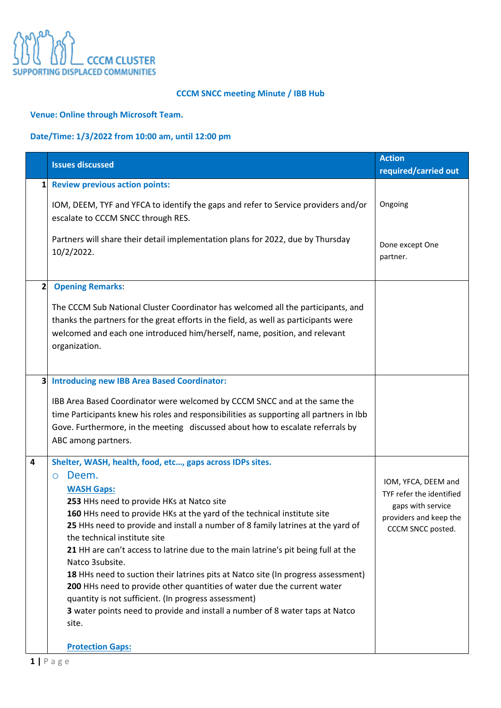

### **CCCM SNCC meeting Minute / IBB Hub**

## **Venue: Online through Microsoft Team.**

# **Date/Time: 1/3/2022 from 10:00 am, until 12:00 pm**

|                                                                                         | <b>Action</b>                                   |
|-----------------------------------------------------------------------------------------|-------------------------------------------------|
| <b>Issues discussed</b>                                                                 | required/carried out                            |
|                                                                                         |                                                 |
| <b>Review previous action points:</b><br>11                                             |                                                 |
| IOM, DEEM, TYF and YFCA to identify the gaps and refer to Service providers and/or      | Ongoing                                         |
| escalate to CCCM SNCC through RES.                                                      |                                                 |
|                                                                                         |                                                 |
| Partners will share their detail implementation plans for 2022, due by Thursday         | Done except One                                 |
| 10/2/2022.                                                                              | partner.                                        |
|                                                                                         |                                                 |
| $2 \vert$<br><b>Opening Remarks:</b>                                                    |                                                 |
|                                                                                         |                                                 |
| The CCCM Sub National Cluster Coordinator has welcomed all the participants, and        |                                                 |
| thanks the partners for the great efforts in the field, as well as participants were    |                                                 |
| welcomed and each one introduced him/herself, name, position, and relevant              |                                                 |
| organization.                                                                           |                                                 |
|                                                                                         |                                                 |
| <b>Introducing new IBB Area Based Coordinator:</b><br>3                                 |                                                 |
|                                                                                         |                                                 |
| IBB Area Based Coordinator were welcomed by CCCM SNCC and at the same the               |                                                 |
| time Participants knew his roles and responsibilities as supporting all partners in Ibb |                                                 |
| Gove. Furthermore, in the meeting discussed about how to escalate referrals by          |                                                 |
| ABC among partners.                                                                     |                                                 |
| Shelter, WASH, health, food, etc, gaps across IDPs sites.<br>4                          |                                                 |
| Deem.<br>$\circ$                                                                        |                                                 |
| <b>WASH Gaps:</b>                                                                       | IOM, YFCA, DEEM and<br>TYF refer the identified |
| 253 HHs need to provide HKs at Natco site                                               | gaps with service                               |
| 160 HHs need to provide HKs at the yard of the technical institute site                 | providers and keep the                          |
| 25 HHs need to provide and install a number of 8 family latrines at the yard of         | CCCM SNCC posted.                               |
| the technical institute site                                                            |                                                 |
| 21 HH are can't access to latrine due to the main latrine's pit being full at the       |                                                 |
| Natco 3subsite.                                                                         |                                                 |
| 18 HHs need to suction their latrines pits at Natco site (In progress assessment)       |                                                 |
| 200 HHs need to provide other quantities of water due the current water                 |                                                 |
| quantity is not sufficient. (In progress assessment)                                    |                                                 |
| 3 water points need to provide and install a number of 8 water taps at Natco            |                                                 |
| site.                                                                                   |                                                 |
| <b>Protection Gaps:</b>                                                                 |                                                 |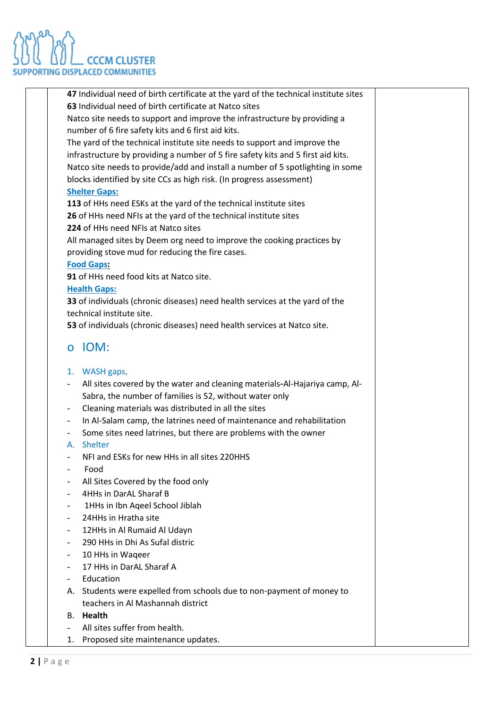

**47** Individual need of birth certificate at the yard of the technical institute sites **63** Individual need of birth certificate at Natco sites Natco site needs to support and improve the infrastructure by providing a number of 6 fire safety kits and 6 first aid kits. The yard of the technical institute site needs to support and improve the infrastructure by providing a number of 5 fire safety kits and 5 first aid kits. Natco site needs to provide/add and install a number of 5 spotlighting in some blocks identified by site CCs as high risk. (In progress assessment) **Shelter Gaps: 113** of HHs need ESKs at the yard of the technical institute sites **26** of HHs need NFIs at the yard of the technical institute sites **224** of HHs need NFIs at Natco sites All managed sites by Deem org need to improve the cooking practices by providing stove mud for reducing the fire cases. **Food Gaps: 91** of HHs need food kits at Natco site. **Health Gaps: 33** of individuals (chronic diseases) need health services at the yard of the technical institute site. **53** of individuals (chronic diseases) need health services at Natco site. o IOM: 1. WASH gaps, - All sites covered by the water and cleaning materials-Al-Hajariya camp, Al-Sabra, the number of families is 52, without water only - Cleaning materials was distributed in all the sites - In Al-Salam camp, the latrines need of maintenance and rehabilitation Some sites need latrines, but there are problems with the owner A. Shelter - NFI and ESKs for new HHs in all sites 220HHS - Food All Sites Covered by the food only - 4HHs in DarAL Sharaf B 1HHs in Ibn Ageel School Jiblah 24HHs in Hratha site 12HHs in Al Rumaid Al Udayn 290 HHs in Dhi As Sufal distric - 10 HHs in Waqeer 17 HHs in DarAL Sharaf A **Education** A. Students were expelled from schools due to non-payment of money to teachers in Al Mashannah district B. **Health**  All sites suffer from health. 1. Proposed site maintenance updates.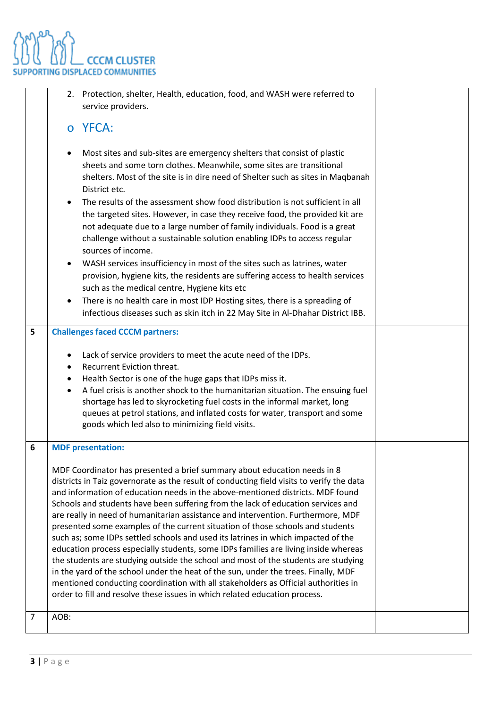ng<br>Pan **CCCM CLUSTER SUPPORTING DISPLACED COMMUNITIES** 

|   | 2. Protection, shelter, Health, education, food, and WASH were referred to<br>service providers.                                                                                                                                                                                                                                                                                                                                                                                                                                                                                                                                                                                                                                                                                                                                                                                                                                                                                                                                                                          |  |
|---|---------------------------------------------------------------------------------------------------------------------------------------------------------------------------------------------------------------------------------------------------------------------------------------------------------------------------------------------------------------------------------------------------------------------------------------------------------------------------------------------------------------------------------------------------------------------------------------------------------------------------------------------------------------------------------------------------------------------------------------------------------------------------------------------------------------------------------------------------------------------------------------------------------------------------------------------------------------------------------------------------------------------------------------------------------------------------|--|
|   | o YFCA:                                                                                                                                                                                                                                                                                                                                                                                                                                                                                                                                                                                                                                                                                                                                                                                                                                                                                                                                                                                                                                                                   |  |
|   | Most sites and sub-sites are emergency shelters that consist of plastic<br>sheets and some torn clothes. Meanwhile, some sites are transitional<br>shelters. Most of the site is in dire need of Shelter such as sites in Maqbanah<br>District etc.<br>The results of the assessment show food distribution is not sufficient in all<br>the targeted sites. However, in case they receive food, the provided kit are<br>not adequate due to a large number of family individuals. Food is a great<br>challenge without a sustainable solution enabling IDPs to access regular<br>sources of income.                                                                                                                                                                                                                                                                                                                                                                                                                                                                       |  |
|   | WASH services insufficiency in most of the sites such as latrines, water<br>٠<br>provision, hygiene kits, the residents are suffering access to health services<br>such as the medical centre, Hygiene kits etc<br>There is no health care in most IDP Hosting sites, there is a spreading of<br>$\bullet$<br>infectious diseases such as skin itch in 22 May Site in Al-Dhahar District IBB.                                                                                                                                                                                                                                                                                                                                                                                                                                                                                                                                                                                                                                                                             |  |
| 5 | <b>Challenges faced CCCM partners:</b><br>Lack of service providers to meet the acute need of the IDPs.<br>$\bullet$<br>Recurrent Eviction threat.<br>Health Sector is one of the huge gaps that IDPs miss it.<br>A fuel crisis is another shock to the humanitarian situation. The ensuing fuel<br>shortage has led to skyrocketing fuel costs in the informal market, long<br>queues at petrol stations, and inflated costs for water, transport and some<br>goods which led also to minimizing field visits.                                                                                                                                                                                                                                                                                                                                                                                                                                                                                                                                                           |  |
| 6 | <b>MDF</b> presentation:<br>MDF Coordinator has presented a brief summary about education needs in 8<br>districts in Taiz governorate as the result of conducting field visits to verify the data<br>and information of education needs in the above-mentioned districts. MDF found<br>Schools and students have been suffering from the lack of education services and<br>are really in need of humanitarian assistance and intervention. Furthermore, MDF<br>presented some examples of the current situation of those schools and students<br>such as; some IDPs settled schools and used its latrines in which impacted of the<br>education process especially students, some IDPs families are living inside whereas<br>the students are studying outside the school and most of the students are studying<br>in the yard of the school under the heat of the sun, under the trees. Finally, MDF<br>mentioned conducting coordination with all stakeholders as Official authorities in<br>order to fill and resolve these issues in which related education process. |  |
| 7 | AOB:                                                                                                                                                                                                                                                                                                                                                                                                                                                                                                                                                                                                                                                                                                                                                                                                                                                                                                                                                                                                                                                                      |  |
|   |                                                                                                                                                                                                                                                                                                                                                                                                                                                                                                                                                                                                                                                                                                                                                                                                                                                                                                                                                                                                                                                                           |  |